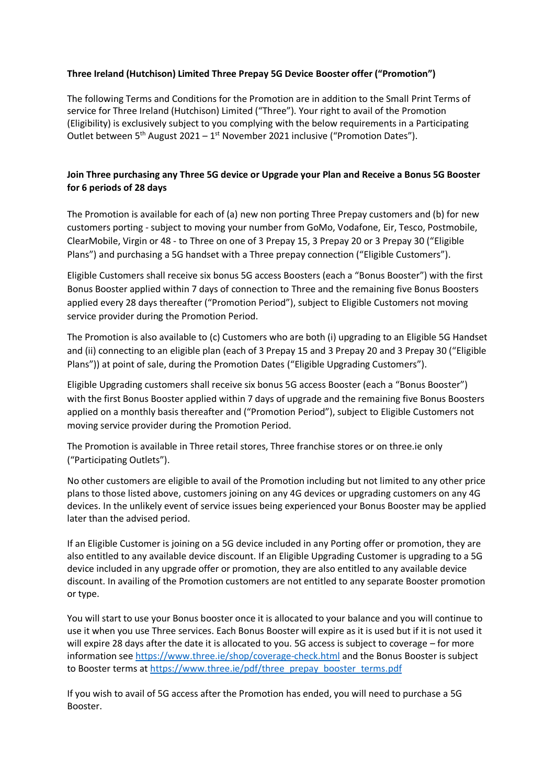## **Three Ireland (Hutchison) Limited Three Prepay 5G Device Booster offer ("Promotion")**

The following Terms and Conditions for the Promotion are in addition to the Small Print Terms of service for Three Ireland (Hutchison) Limited ("Three"). Your right to avail of the Promotion (Eligibility) is exclusively subject to you complying with the below requirements in a Participating Outlet between  $5<sup>th</sup>$  August 2021 – 1<sup>st</sup> November 2021 inclusive ("Promotion Dates").

## **Join Three purchasing any Three 5G device or Upgrade your Plan and Receive a Bonus 5G Booster for 6 periods of 28 days**

The Promotion is available for each of (a) new non porting Three Prepay customers and (b) for new customers porting - subject to moving your number from GoMo, Vodafone, Eir, Tesco, Postmobile, ClearMobile, Virgin or 48 - to Three on one of 3 Prepay 15, 3 Prepay 20 or 3 Prepay 30 ("Eligible Plans") and purchasing a 5G handset with a Three prepay connection ("Eligible Customers").

Eligible Customers shall receive six bonus 5G access Boosters (each a "Bonus Booster") with the first Bonus Booster applied within 7 days of connection to Three and the remaining five Bonus Boosters applied every 28 days thereafter ("Promotion Period"), subject to Eligible Customers not moving service provider during the Promotion Period.

The Promotion is also available to (c) Customers who are both (i) upgrading to an Eligible 5G Handset and (ii) connecting to an eligible plan (each of 3 Prepay 15 and 3 Prepay 20 and 3 Prepay 30 ("Eligible Plans")) at point of sale, during the Promotion Dates ("Eligible Upgrading Customers").

Eligible Upgrading customers shall receive six bonus 5G access Booster (each a "Bonus Booster") with the first Bonus Booster applied within 7 days of upgrade and the remaining five Bonus Boosters applied on a monthly basis thereafter and ("Promotion Period"), subject to Eligible Customers not moving service provider during the Promotion Period.

The Promotion is available in Three retail stores, Three franchise stores or on three.ie only ("Participating Outlets").

No other customers are eligible to avail of the Promotion including but not limited to any other price plans to those listed above, customers joining on any 4G devices or upgrading customers on any 4G devices. In the unlikely event of service issues being experienced your Bonus Booster may be applied later than the advised period.

If an Eligible Customer is joining on a 5G device included in any Porting offer or promotion, they are also entitled to any available device discount. If an Eligible Upgrading Customer is upgrading to a 5G device included in any upgrade offer or promotion, they are also entitled to any available device discount. In availing of the Promotion customers are not entitled to any separate Booster promotion or type.

You will start to use your Bonus booster once it is allocated to your balance and you will continue to use it when you use Three services. Each Bonus Booster will expire as it is used but if it is not used it will expire 28 days after the date it is allocated to you. 5G access is subject to coverage – for more information see<https://www.three.ie/shop/coverage-check.html> and the Bonus Booster is subject to Booster terms at [https://www.three.ie/pdf/three\\_prepay\\_booster\\_terms.pdf](https://www.three.ie/pdf/three_prepay_booster_terms.pdf)

If you wish to avail of 5G access after the Promotion has ended, you will need to purchase a 5G Booster.